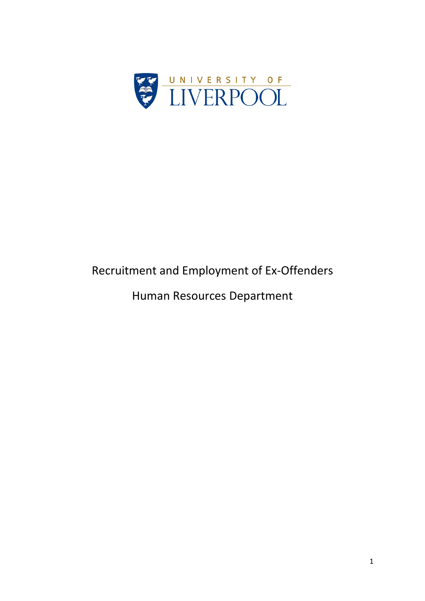

# Recruitment and Employment of Ex-Offenders

Human Resources Department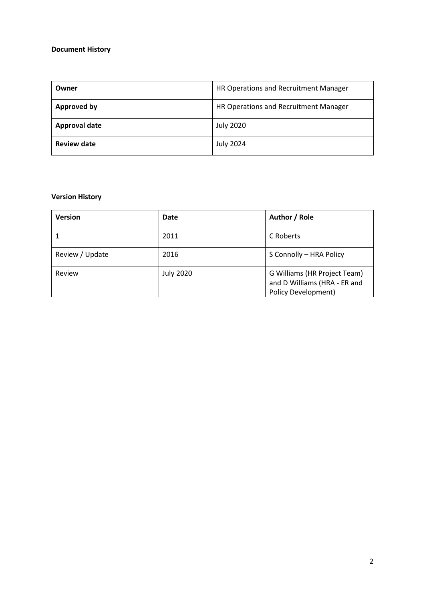#### **Document History**

| Owner                | HR Operations and Recruitment Manager |
|----------------------|---------------------------------------|
| Approved by          | HR Operations and Recruitment Manager |
| <b>Approval date</b> | <b>July 2020</b>                      |
| <b>Review date</b>   | <b>July 2024</b>                      |

#### **Version History**

| <b>Version</b>  | Date             | Author / Role                                                                              |
|-----------------|------------------|--------------------------------------------------------------------------------------------|
|                 | 2011             | C Roberts                                                                                  |
| Review / Update | 2016             | S Connolly - HRA Policy                                                                    |
| Review          | <b>July 2020</b> | G Williams (HR Project Team)<br>and D Williams (HRA - ER and<br><b>Policy Development)</b> |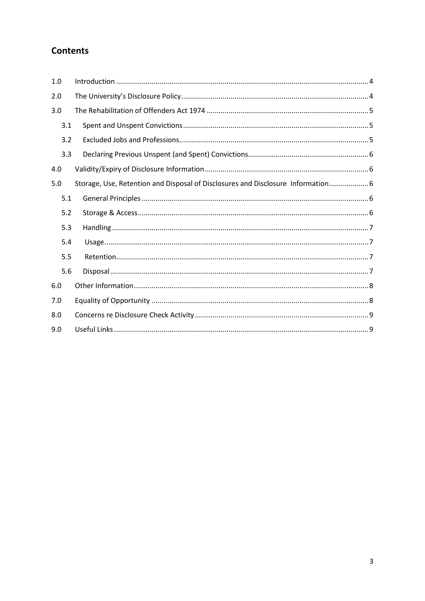# **Contents**

| 1.0 |                                                                                  |
|-----|----------------------------------------------------------------------------------|
| 2.0 |                                                                                  |
| 3.0 |                                                                                  |
| 3.1 |                                                                                  |
| 3.2 |                                                                                  |
| 3.3 |                                                                                  |
| 4.0 |                                                                                  |
| 5.0 | Storage, Use, Retention and Disposal of Disclosures and Disclosure Information 6 |
| 5.1 |                                                                                  |
| 5.2 |                                                                                  |
| 5.3 |                                                                                  |
| 5.4 |                                                                                  |
| 5.5 |                                                                                  |
| 5.6 |                                                                                  |
| 6.0 |                                                                                  |
| 7.0 |                                                                                  |
| 8.0 |                                                                                  |
| 9.0 |                                                                                  |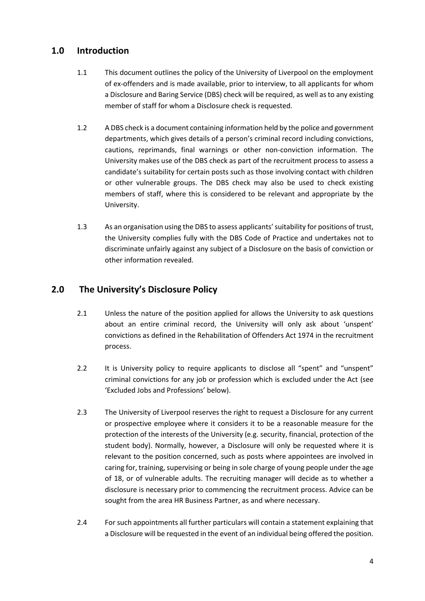## <span id="page-3-0"></span>**1.0 Introduction**

- 1.1 This document outlines the policy of the University of Liverpool on the employment of ex-offenders and is made available, prior to interview, to all applicants for whom a Disclosure and Baring Service (DBS) check will be required, as well as to any existing member of staff for whom a Disclosure check is requested.
- 1.2 A DBS check is a document containing information held by the police and government departments, which gives details of a person's criminal record including convictions, cautions, reprimands, final warnings or other non-conviction information. The University makes use of the DBS check as part of the recruitment process to assess a candidate's suitability for certain posts such as those involving contact with children or other vulnerable groups. The DBS check may also be used to check existing members of staff, where this is considered to be relevant and appropriate by the University.
- 1.3 As an organisation using the DBS to assess applicants' suitability for positions of trust, the University complies fully with the DBS Code of Practice and undertakes not to discriminate unfairly against any subject of a Disclosure on the basis of conviction or other information revealed.

## <span id="page-3-1"></span>**2.0 The University's Disclosure Policy**

- 2.1 Unless the nature of the position applied for allows the University to ask questions about an entire criminal record, the University will only ask about 'unspent' convictions as defined in the Rehabilitation of Offenders Act 1974 in the recruitment process.
- 2.2 It is University policy to require applicants to disclose all "spent" and "unspent" criminal convictions for any job or profession which is excluded under the Act (see 'Excluded Jobs and Professions' below).
- 2.3 The University of Liverpool reserves the right to request a Disclosure for any current or prospective employee where it considers it to be a reasonable measure for the protection of the interests of the University (e.g. security, financial, protection of the student body). Normally, however, a Disclosure will only be requested where it is relevant to the position concerned, such as posts where appointees are involved in caring for, training, supervising or being in sole charge of young people under the age of 18, or of vulnerable adults. The recruiting manager will decide as to whether a disclosure is necessary prior to commencing the recruitment process. Advice can be sought from the area HR Business Partner, as and where necessary.
- 2.4 For such appointments all further particulars will contain a statement explaining that a Disclosure will be requested in the event of an individual being offered the position.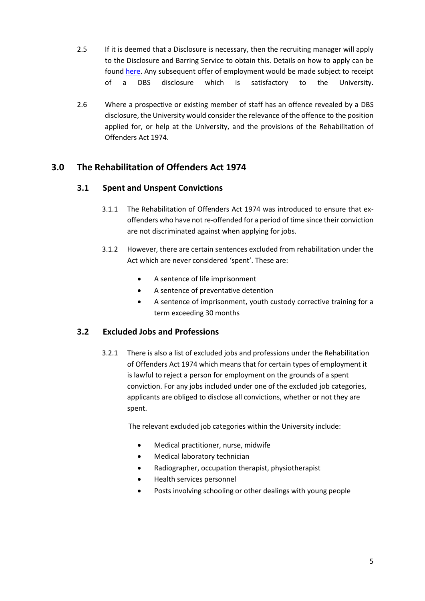- 2.5 If it is deemed that a Disclosure is necessary, then the recruiting manager will apply to the Disclosure and Barring Service to obtain this. Details on how to apply can be found [here.](https://www.gov.uk/government/organisations/disclosure-and-barring-service) Any subsequent offer of employment would be made subject to receipt of a DBS disclosure which is satisfactory to the University.
- 2.6 Where a prospective or existing member of staff has an offence revealed by a DBS disclosure, the University would consider the relevance of the offence to the position applied for, or help at the University, and the provisions of the Rehabilitation of Offenders Act 1974.

## <span id="page-4-0"></span>**3.0 The Rehabilitation of Offenders Act 1974**

#### <span id="page-4-1"></span>**3.1 Spent and Unspent Convictions**

- 3.1.1 The Rehabilitation of Offenders Act 1974 was introduced to ensure that exoffenders who have not re-offended for a period of time since their conviction are not discriminated against when applying for jobs.
- 3.1.2 However, there are certain sentences excluded from rehabilitation under the Act which are never considered 'spent'. These are:
	- A sentence of life imprisonment
	- A sentence of preventative detention
	- A sentence of imprisonment, youth custody corrective training for a term exceeding 30 months

#### <span id="page-4-2"></span>**3.2 Excluded Jobs and Professions**

3.2.1 There is also a list of excluded jobs and professions under the Rehabilitation of Offenders Act 1974 which means that for certain types of employment it is lawful to reject a person for employment on the grounds of a spent conviction. For any jobs included under one of the excluded job categories, applicants are obliged to disclose all convictions, whether or not they are spent.

The relevant excluded job categories within the University include:

- Medical practitioner, nurse, midwife
- Medical laboratory technician
- Radiographer, occupation therapist, physiotherapist
- Health services personnel
- Posts involving schooling or other dealings with young people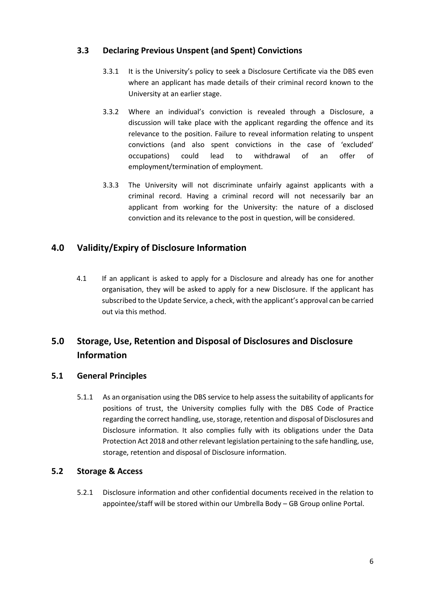#### <span id="page-5-0"></span>**3.3 Declaring Previous Unspent (and Spent) Convictions**

- 3.3.1 It is the University's policy to seek a Disclosure Certificate via the DBS even where an applicant has made details of their criminal record known to the University at an earlier stage.
- 3.3.2 Where an individual's conviction is revealed through a Disclosure, a discussion will take place with the applicant regarding the offence and its relevance to the position. Failure to reveal information relating to unspent convictions (and also spent convictions in the case of 'excluded' occupations) could lead to withdrawal of an offer of employment/termination of employment.
- 3.3.3 The University will not discriminate unfairly against applicants with a criminal record. Having a criminal record will not necessarily bar an applicant from working for the University: the nature of a disclosed conviction and its relevance to the post in question, will be considered.

## <span id="page-5-1"></span>**4.0 Validity/Expiry of Disclosure Information**

4.1 If an applicant is asked to apply for a Disclosure and already has one for another organisation, they will be asked to apply for a new Disclosure. If the applicant has subscribed to the Update Service, a check, with the applicant's approval can be carried out via this method.

# <span id="page-5-2"></span>**5.0 Storage, Use, Retention and Disposal of Disclosures and Disclosure Information**

#### <span id="page-5-3"></span>**5.1 General Principles**

5.1.1 As an organisation using the DBS service to help assess the suitability of applicants for positions of trust, the University complies fully with the DBS Code of Practice regarding the correct handling, use, storage, retention and disposal of Disclosures and Disclosure information. It also complies fully with its obligations under the Data Protection Act 2018 and other relevant legislation pertaining to the safe handling, use, storage, retention and disposal of Disclosure information.

#### <span id="page-5-4"></span>**5.2 Storage & Access**

5.2.1 Disclosure information and other confidential documents received in the relation to appointee/staff will be stored within our Umbrella Body – GB Group online Portal.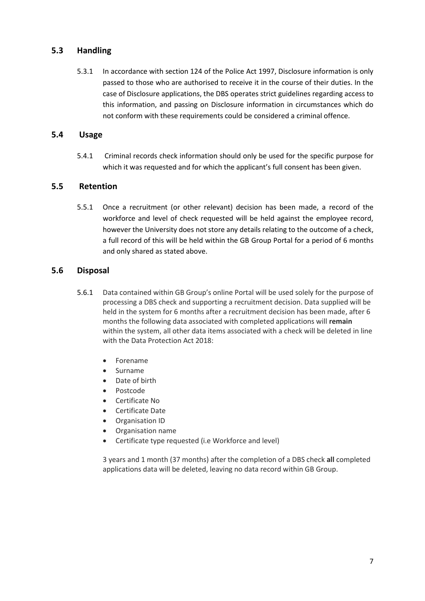#### <span id="page-6-0"></span>**5.3 Handling**

5.3.1 In accordance with section 124 of the Police Act 1997, Disclosure information is only passed to those who are authorised to receive it in the course of their duties. In the case of Disclosure applications, the DBS operates strict guidelines regarding access to this information, and passing on Disclosure information in circumstances which do not conform with these requirements could be considered a criminal offence.

#### <span id="page-6-1"></span>**5.4 Usage**

5.4.1 Criminal records check information should only be used for the specific purpose for which it was requested and for which the applicant's full consent has been given.

#### <span id="page-6-2"></span>**5.5 Retention**

5.5.1 Once a recruitment (or other relevant) decision has been made, a record of the workforce and level of check requested will be held against the employee record, however the University does not store any details relating to the outcome of a check, a full record of this will be held within the GB Group Portal for a period of 6 months and only shared as stated above.

#### <span id="page-6-3"></span>**5.6 Disposal**

- 5.6.1 Data contained within GB Group's online Portal will be used solely for the purpose of processing a DBS check and supporting a recruitment decision. Data supplied will be held in the system for 6 months after a recruitment decision has been made, after 6 months the following data associated with completed applications will **remain**  within the system, all other data items associated with a check will be deleted in line with the Data Protection Act 2018:
	- Forename
	- Surname
	- Date of birth
	- Postcode
	- Certificate No
	- Certificate Date
	- Organisation ID
	- Organisation name
	- Certificate type requested (i.e Workforce and level)

3 years and 1 month (37 months) after the completion of a DBS check **all** completed applications data will be deleted, leaving no data record within GB Group.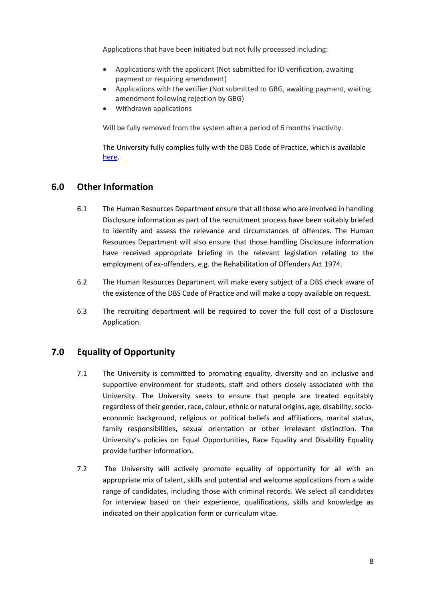Applications that have been initiated but not fully processed including:

- Applications with the applicant (Not submitted for ID verification, awaiting payment or requiring amendment)
- Applications with the verifier (Not submitted to GBG, awaiting payment, waiting amendment following rejection by GBG)
- Withdrawn applications

Will be fully removed from the system after a period of 6 months inactivity.

The University fully complies fully with the DBS Code of Practice, which is available [here.](https://www.gov.uk/government/publications/dbs-code-of-practice)

#### <span id="page-7-0"></span>**6.0 Other Information**

- 6.1 The Human Resources Department ensure that all those who are involved in handling Disclosure information as part of the recruitment process have been suitably briefed to identify and assess the relevance and circumstances of offences. The Human Resources Department will also ensure that those handling Disclosure information have received appropriate briefing in the relevant legislation relating to the employment of ex-offenders, e.g. the Rehabilitation of Offenders Act 1974.
- 6.2 The Human Resources Department will make every subject of a DBS check aware of the existence of the DBS Code of Practice and will make a copy available on request.
- 6.3 The recruiting department will be required to cover the full cost of a Disclosure Application.

### <span id="page-7-1"></span>**7.0 Equality of Opportunity**

- 7.1 The University is committed to promoting equality, diversity and an inclusive and supportive environment for students, staff and others closely associated with the University. The University seeks to ensure that people are treated equitably regardless of their gender, race, colour, ethnic or natural origins, age, disability, socioeconomic background, religious or political beliefs and affiliations, marital status, family responsibilities, sexual orientation or other irrelevant distinction. The University's policies on Equal Opportunities, Race Equality and Disability Equality provide further information.
- 7.2 The University will actively promote equality of opportunity for all with an appropriate mix of talent, skills and potential and welcome applications from a wide range of candidates, including those with criminal records. We select all candidates for interview based on their experience, qualifications, skills and knowledge as indicated on their application form or curriculum vitae.